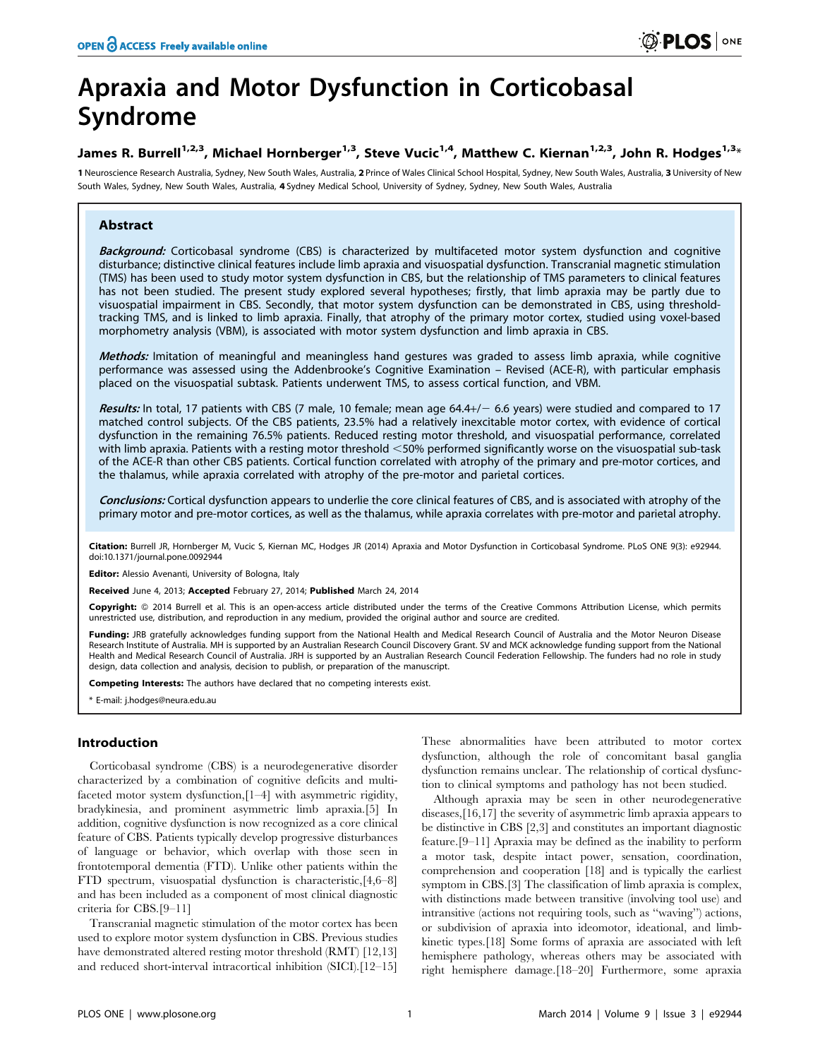# Apraxia and Motor Dysfunction in Corticobasal Syndrome

# James R. Burrell<sup>1,2,3</sup>, Michael Hornberger<sup>1,3</sup>, Steve Vucic<sup>1,4</sup>, Matthew C. Kiernan<sup>1,2,3</sup>, John R. Hodges<sup>1,3</sup>\*

1 Neuroscience Research Australia, Sydney, New South Wales, Australia, 2 Prince of Wales Clinical School Hospital, Sydney, New South Wales, Australia, 3 University of New South Wales, Sydney, New South Wales, Australia, 4 Sydney Medical School, University of Sydney, Sydney, New South Wales, Australia

## Abstract

Backaround: Corticobasal syndrome (CBS) is characterized by multifaceted motor system dysfunction and cognitive disturbance; distinctive clinical features include limb apraxia and visuospatial dysfunction. Transcranial magnetic stimulation (TMS) has been used to study motor system dysfunction in CBS, but the relationship of TMS parameters to clinical features has not been studied. The present study explored several hypotheses; firstly, that limb apraxia may be partly due to visuospatial impairment in CBS. Secondly, that motor system dysfunction can be demonstrated in CBS, using thresholdtracking TMS, and is linked to limb apraxia. Finally, that atrophy of the primary motor cortex, studied using voxel-based morphometry analysis (VBM), is associated with motor system dysfunction and limb apraxia in CBS.

Methods: Imitation of meaningful and meaningless hand gestures was graded to assess limb apraxia, while cognitive performance was assessed using the Addenbrooke's Cognitive Examination – Revised (ACE-R), with particular emphasis placed on the visuospatial subtask. Patients underwent TMS, to assess cortical function, and VBM.

Results: In total, 17 patients with CBS (7 male, 10 female; mean age  $64.4+/- 6.6$  years) were studied and compared to 17 matched control subjects. Of the CBS patients, 23.5% had a relatively inexcitable motor cortex, with evidence of cortical dysfunction in the remaining 76.5% patients. Reduced resting motor threshold, and visuospatial performance, correlated with limb apraxia. Patients with a resting motor threshold <50% performed significantly worse on the visuospatial sub-task of the ACE-R than other CBS patients. Cortical function correlated with atrophy of the primary and pre-motor cortices, and the thalamus, while apraxia correlated with atrophy of the pre-motor and parietal cortices.

Conclusions: Cortical dysfunction appears to underlie the core clinical features of CBS, and is associated with atrophy of the primary motor and pre-motor cortices, as well as the thalamus, while apraxia correlates with pre-motor and parietal atrophy.

Citation: Burrell JR, Hornberger M, Vucic S, Kiernan MC, Hodges JR (2014) Apraxia and Motor Dysfunction in Corticobasal Syndrome. PLoS ONE 9(3): e92944. doi:10.1371/journal.pone.0092944

Editor: Alessio Avenanti, University of Bologna, Italy

Received June 4, 2013; Accepted February 27, 2014; Published March 24, 2014

Copyright: © 2014 Burrell et al. This is an open-access article distributed under the terms of the [Creative Commons Attribution License](http://creativecommons.org/licenses/by/4.0/), which permits unrestricted use, distribution, and reproduction in any medium, provided the original author and source are credited.

Funding: JRB gratefully acknowledges funding support from the National Health and Medical Research Council of Australia and the Motor Neuron Disease Research Institute of Australia. MH is supported by an Australian Research Council Discovery Grant. SV and MCK acknowledge funding support from the National Health and Medical Research Council of Australia. JRH is supported by an Australian Research Council Federation Fellowship. The funders had no role in study design, data collection and analysis, decision to publish, or preparation of the manuscript.

Competing Interests: The authors have declared that no competing interests exist.

\* E-mail: j.hodges@neura.edu.au

## Introduction

Corticobasal syndrome (CBS) is a neurodegenerative disorder characterized by a combination of cognitive deficits and multifaceted motor system dysfunction,[1–4] with asymmetric rigidity, bradykinesia, and prominent asymmetric limb apraxia.[5] In addition, cognitive dysfunction is now recognized as a core clinical feature of CBS. Patients typically develop progressive disturbances of language or behavior, which overlap with those seen in frontotemporal dementia (FTD). Unlike other patients within the FTD spectrum, visuospatial dysfunction is characteristic,[4,6–8] and has been included as a component of most clinical diagnostic criteria for CBS.[9–11]

Transcranial magnetic stimulation of the motor cortex has been used to explore motor system dysfunction in CBS. Previous studies have demonstrated altered resting motor threshold (RMT) [12,13] and reduced short-interval intracortical inhibition (SICI).[12–15] These abnormalities have been attributed to motor cortex dysfunction, although the role of concomitant basal ganglia dysfunction remains unclear. The relationship of cortical dysfunction to clinical symptoms and pathology has not been studied.

Although apraxia may be seen in other neurodegenerative diseases,[16,17] the severity of asymmetric limb apraxia appears to be distinctive in CBS [2,3] and constitutes an important diagnostic feature.[9–11] Apraxia may be defined as the inability to perform a motor task, despite intact power, sensation, coordination, comprehension and cooperation [18] and is typically the earliest symptom in CBS.[3] The classification of limb apraxia is complex, with distinctions made between transitive (involving tool use) and intransitive (actions not requiring tools, such as ''waving'') actions, or subdivision of apraxia into ideomotor, ideational, and limbkinetic types.[18] Some forms of apraxia are associated with left hemisphere pathology, whereas others may be associated with right hemisphere damage.[18–20] Furthermore, some apraxia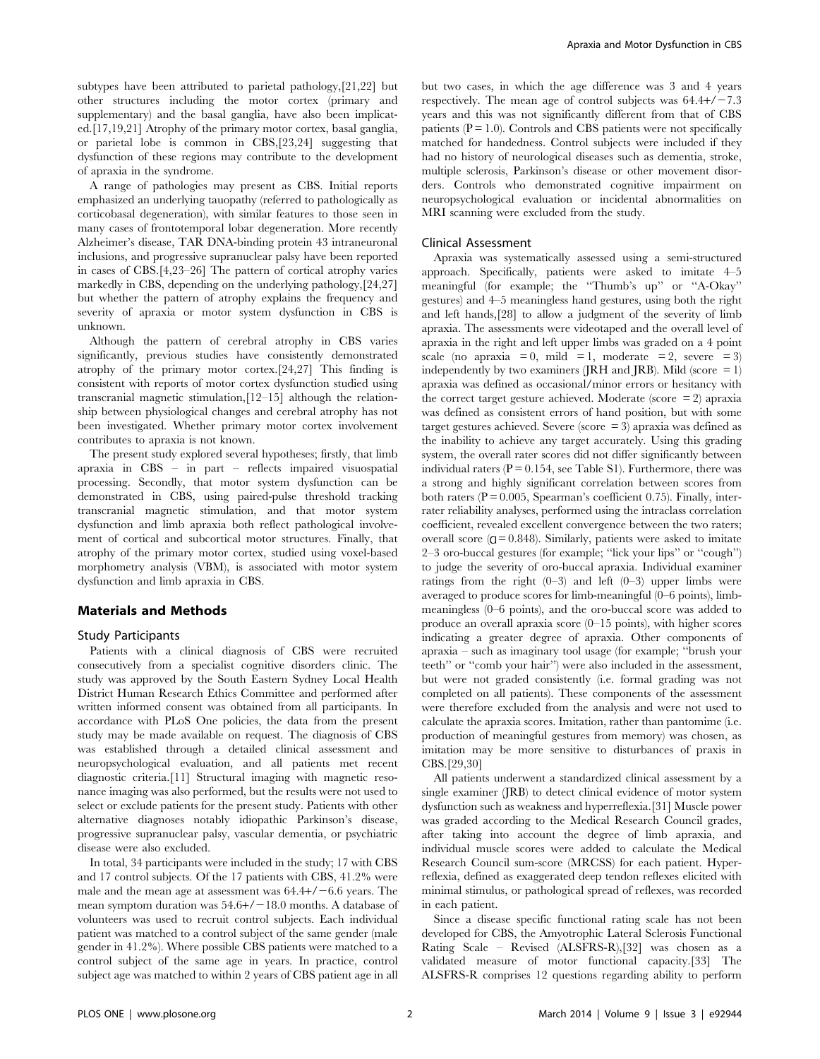subtypes have been attributed to parietal pathology,[21,22] but other structures including the motor cortex (primary and supplementary) and the basal ganglia, have also been implicated.[17,19,21] Atrophy of the primary motor cortex, basal ganglia, or parietal lobe is common in CBS,[23,24] suggesting that dysfunction of these regions may contribute to the development of apraxia in the syndrome.

A range of pathologies may present as CBS. Initial reports emphasized an underlying tauopathy (referred to pathologically as corticobasal degeneration), with similar features to those seen in many cases of frontotemporal lobar degeneration. More recently Alzheimer's disease, TAR DNA-binding protein 43 intraneuronal inclusions, and progressive supranuclear palsy have been reported in cases of CBS.[4,23–26] The pattern of cortical atrophy varies markedly in CBS, depending on the underlying pathology,[24,27] but whether the pattern of atrophy explains the frequency and severity of apraxia or motor system dysfunction in CBS is unknown.

Although the pattern of cerebral atrophy in CBS varies significantly, previous studies have consistently demonstrated atrophy of the primary motor cortex.[24,27] This finding is consistent with reports of motor cortex dysfunction studied using transcranial magnetic stimulation,[12–15] although the relationship between physiological changes and cerebral atrophy has not been investigated. Whether primary motor cortex involvement contributes to apraxia is not known.

The present study explored several hypotheses; firstly, that limb apraxia in CBS – in part – reflects impaired visuospatial processing. Secondly, that motor system dysfunction can be demonstrated in CBS, using paired-pulse threshold tracking transcranial magnetic stimulation, and that motor system dysfunction and limb apraxia both reflect pathological involvement of cortical and subcortical motor structures. Finally, that atrophy of the primary motor cortex, studied using voxel-based morphometry analysis (VBM), is associated with motor system dysfunction and limb apraxia in CBS.

#### Materials and Methods

#### Study Participants

Patients with a clinical diagnosis of CBS were recruited consecutively from a specialist cognitive disorders clinic. The study was approved by the South Eastern Sydney Local Health District Human Research Ethics Committee and performed after written informed consent was obtained from all participants. In accordance with PLoS One policies, the data from the present study may be made available on request. The diagnosis of CBS was established through a detailed clinical assessment and neuropsychological evaluation, and all patients met recent diagnostic criteria.[11] Structural imaging with magnetic resonance imaging was also performed, but the results were not used to select or exclude patients for the present study. Patients with other alternative diagnoses notably idiopathic Parkinson's disease, progressive supranuclear palsy, vascular dementia, or psychiatric disease were also excluded.

In total, 34 participants were included in the study; 17 with CBS and 17 control subjects. Of the 17 patients with CBS, 41.2% were male and the mean age at assessment was  $64.4+/-6.6$  years. The mean symptom duration was  $54.6+/-18.0$  months. A database of volunteers was used to recruit control subjects. Each individual patient was matched to a control subject of the same gender (male gender in 41.2%). Where possible CBS patients were matched to a control subject of the same age in years. In practice, control subject age was matched to within 2 years of CBS patient age in all but two cases, in which the age difference was 3 and 4 years respectively. The mean age of control subjects was  $64.4+/-7.3$ years and this was not significantly different from that of CBS patients  $(P = 1.0)$ . Controls and CBS patients were not specifically matched for handedness. Control subjects were included if they had no history of neurological diseases such as dementia, stroke, multiple sclerosis, Parkinson's disease or other movement disorders. Controls who demonstrated cognitive impairment on neuropsychological evaluation or incidental abnormalities on MRI scanning were excluded from the study.

#### Clinical Assessment

Apraxia was systematically assessed using a semi-structured approach. Specifically, patients were asked to imitate 4–5 meaningful (for example; the ''Thumb's up'' or ''A-Okay'' gestures) and 4–5 meaningless hand gestures, using both the right and left hands,[28] to allow a judgment of the severity of limb apraxia. The assessments were videotaped and the overall level of apraxia in the right and left upper limbs was graded on a 4 point scale (no apraxia = 0, mild = 1, moderate = 2, severe = 3) independently by two examiners (JRH and JRB). Mild (score  $= 1$ ) apraxia was defined as occasional/minor errors or hesitancy with the correct target gesture achieved. Moderate (score  $= 2$ ) apraxia was defined as consistent errors of hand position, but with some target gestures achieved. Severe (score = 3) apraxia was defined as the inability to achieve any target accurately. Using this grading system, the overall rater scores did not differ significantly between individual raters  $(P = 0.154$ , see Table S1). Furthermore, there was a strong and highly significant correlation between scores from both raters ( $P = 0.005$ , Spearman's coefficient 0.75). Finally, interrater reliability analyses, performed using the intraclass correlation coefficient, revealed excellent convergence between the two raters; overall score  $(Q = 0.848)$ . Similarly, patients were asked to imitate 2–3 oro-buccal gestures (for example; ''lick your lips'' or ''cough'') to judge the severity of oro-buccal apraxia. Individual examiner ratings from the right  $(0-3)$  and left  $(0-3)$  upper limbs were averaged to produce scores for limb-meaningful (0–6 points), limbmeaningless (0–6 points), and the oro-buccal score was added to produce an overall apraxia score (0–15 points), with higher scores indicating a greater degree of apraxia. Other components of apraxia – such as imaginary tool usage (for example; ''brush your teeth'' or ''comb your hair'') were also included in the assessment, but were not graded consistently (i.e. formal grading was not completed on all patients). These components of the assessment were therefore excluded from the analysis and were not used to calculate the apraxia scores. Imitation, rather than pantomime (i.e. production of meaningful gestures from memory) was chosen, as imitation may be more sensitive to disturbances of praxis in CBS.[29,30]

All patients underwent a standardized clinical assessment by a single examiner (JRB) to detect clinical evidence of motor system dysfunction such as weakness and hyperreflexia.[31] Muscle power was graded according to the Medical Research Council grades, after taking into account the degree of limb apraxia, and individual muscle scores were added to calculate the Medical Research Council sum-score (MRCSS) for each patient. Hyperreflexia, defined as exaggerated deep tendon reflexes elicited with minimal stimulus, or pathological spread of reflexes, was recorded in each patient.

Since a disease specific functional rating scale has not been developed for CBS, the Amyotrophic Lateral Sclerosis Functional Rating Scale – Revised (ALSFRS-R),[32] was chosen as a validated measure of motor functional capacity.[33] The ALSFRS-R comprises 12 questions regarding ability to perform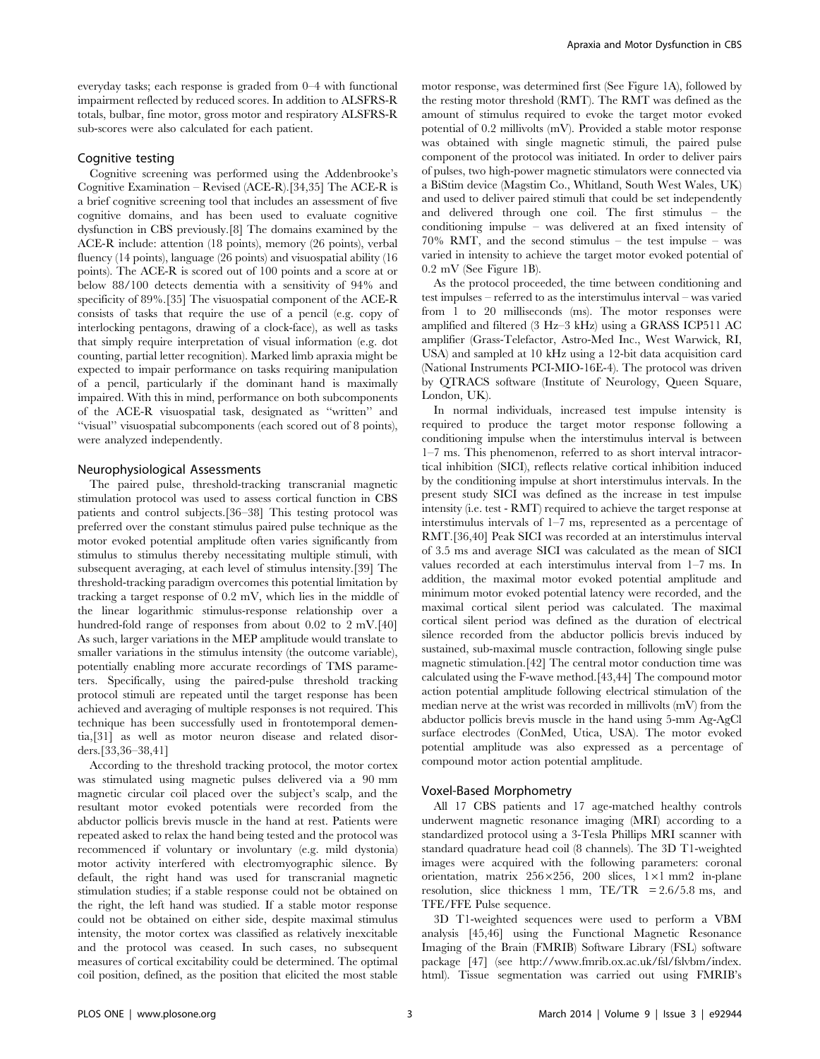everyday tasks; each response is graded from 0–4 with functional impairment reflected by reduced scores. In addition to ALSFRS-R totals, bulbar, fine motor, gross motor and respiratory ALSFRS-R sub-scores were also calculated for each patient.

### Cognitive testing

Cognitive screening was performed using the Addenbrooke's Cognitive Examination – Revised (ACE-R).[34,35] The ACE-R is a brief cognitive screening tool that includes an assessment of five cognitive domains, and has been used to evaluate cognitive dysfunction in CBS previously.[8] The domains examined by the ACE-R include: attention (18 points), memory (26 points), verbal fluency (14 points), language (26 points) and visuospatial ability (16 points). The ACE-R is scored out of 100 points and a score at or below 88/100 detects dementia with a sensitivity of 94% and specificity of 89%.[35] The visuospatial component of the ACE-R consists of tasks that require the use of a pencil (e.g. copy of interlocking pentagons, drawing of a clock-face), as well as tasks that simply require interpretation of visual information (e.g. dot counting, partial letter recognition). Marked limb apraxia might be expected to impair performance on tasks requiring manipulation of a pencil, particularly if the dominant hand is maximally impaired. With this in mind, performance on both subcomponents of the ACE-R visuospatial task, designated as ''written'' and ''visual'' visuospatial subcomponents (each scored out of 8 points), were analyzed independently.

#### Neurophysiological Assessments

The paired pulse, threshold-tracking transcranial magnetic stimulation protocol was used to assess cortical function in CBS patients and control subjects.[36–38] This testing protocol was preferred over the constant stimulus paired pulse technique as the motor evoked potential amplitude often varies significantly from stimulus to stimulus thereby necessitating multiple stimuli, with subsequent averaging, at each level of stimulus intensity.[39] The threshold-tracking paradigm overcomes this potential limitation by tracking a target response of 0.2 mV, which lies in the middle of the linear logarithmic stimulus-response relationship over a hundred-fold range of responses from about 0.02 to 2 mV.[40] As such, larger variations in the MEP amplitude would translate to smaller variations in the stimulus intensity (the outcome variable), potentially enabling more accurate recordings of TMS parameters. Specifically, using the paired-pulse threshold tracking protocol stimuli are repeated until the target response has been achieved and averaging of multiple responses is not required. This technique has been successfully used in frontotemporal dementia,[31] as well as motor neuron disease and related disorders.[33,36–38,41]

According to the threshold tracking protocol, the motor cortex was stimulated using magnetic pulses delivered via a 90 mm magnetic circular coil placed over the subject's scalp, and the resultant motor evoked potentials were recorded from the abductor pollicis brevis muscle in the hand at rest. Patients were repeated asked to relax the hand being tested and the protocol was recommenced if voluntary or involuntary (e.g. mild dystonia) motor activity interfered with electromyographic silence. By default, the right hand was used for transcranial magnetic stimulation studies; if a stable response could not be obtained on the right, the left hand was studied. If a stable motor response could not be obtained on either side, despite maximal stimulus intensity, the motor cortex was classified as relatively inexcitable and the protocol was ceased. In such cases, no subsequent measures of cortical excitability could be determined. The optimal coil position, defined, as the position that elicited the most stable

motor response, was determined first (See Figure 1A), followed by the resting motor threshold (RMT). The RMT was defined as the amount of stimulus required to evoke the target motor evoked potential of 0.2 millivolts (mV). Provided a stable motor response was obtained with single magnetic stimuli, the paired pulse component of the protocol was initiated. In order to deliver pairs of pulses, two high-power magnetic stimulators were connected via a BiStim device (Magstim Co., Whitland, South West Wales, UK) and used to deliver paired stimuli that could be set independently and delivered through one coil. The first stimulus – the conditioning impulse – was delivered at an fixed intensity of 70% RMT, and the second stimulus – the test impulse – was varied in intensity to achieve the target motor evoked potential of 0.2 mV (See Figure 1B).

As the protocol proceeded, the time between conditioning and test impulses – referred to as the interstimulus interval – was varied from 1 to 20 milliseconds (ms). The motor responses were amplified and filtered (3 Hz–3 kHz) using a GRASS ICP511 AC amplifier (Grass-Telefactor, Astro-Med Inc., West Warwick, RI, USA) and sampled at 10 kHz using a 12-bit data acquisition card (National Instruments PCI-MIO-16E-4). The protocol was driven by QTRACS software (Institute of Neurology, Queen Square, London, UK).

In normal individuals, increased test impulse intensity is required to produce the target motor response following a conditioning impulse when the interstimulus interval is between 1–7 ms. This phenomenon, referred to as short interval intracortical inhibition (SICI), reflects relative cortical inhibition induced by the conditioning impulse at short interstimulus intervals. In the present study SICI was defined as the increase in test impulse intensity (i.e. test - RMT) required to achieve the target response at interstimulus intervals of 1–7 ms, represented as a percentage of RMT.[36,40] Peak SICI was recorded at an interstimulus interval of 3.5 ms and average SICI was calculated as the mean of SICI values recorded at each interstimulus interval from 1–7 ms. In addition, the maximal motor evoked potential amplitude and minimum motor evoked potential latency were recorded, and the maximal cortical silent period was calculated. The maximal cortical silent period was defined as the duration of electrical silence recorded from the abductor pollicis brevis induced by sustained, sub-maximal muscle contraction, following single pulse magnetic stimulation.[42] The central motor conduction time was calculated using the F-wave method.[43,44] The compound motor action potential amplitude following electrical stimulation of the median nerve at the wrist was recorded in millivolts (mV) from the abductor pollicis brevis muscle in the hand using 5-mm Ag-AgCl surface electrodes (ConMed, Utica, USA). The motor evoked potential amplitude was also expressed as a percentage of compound motor action potential amplitude.

#### Voxel-Based Morphometry

All 17 CBS patients and 17 age-matched healthy controls underwent magnetic resonance imaging (MRI) according to a standardized protocol using a 3-Tesla Phillips MRI scanner with standard quadrature head coil (8 channels). The 3D T1-weighted images were acquired with the following parameters: coronal orientation, matrix  $256 \times 256$ ,  $200$  slices,  $1 \times 1$  mm2 in-plane resolution, slice thickness 1 mm, TE/TR = 2.6/5.8 ms, and TFE/FFE Pulse sequence.

3D T1-weighted sequences were used to perform a VBM analysis [45,46] using the Functional Magnetic Resonance Imaging of the Brain (FMRIB) Software Library (FSL) software package [47] (see http://www.fmrib.ox.ac.uk/fsl/fslvbm/index. html). Tissue segmentation was carried out using FMRIB's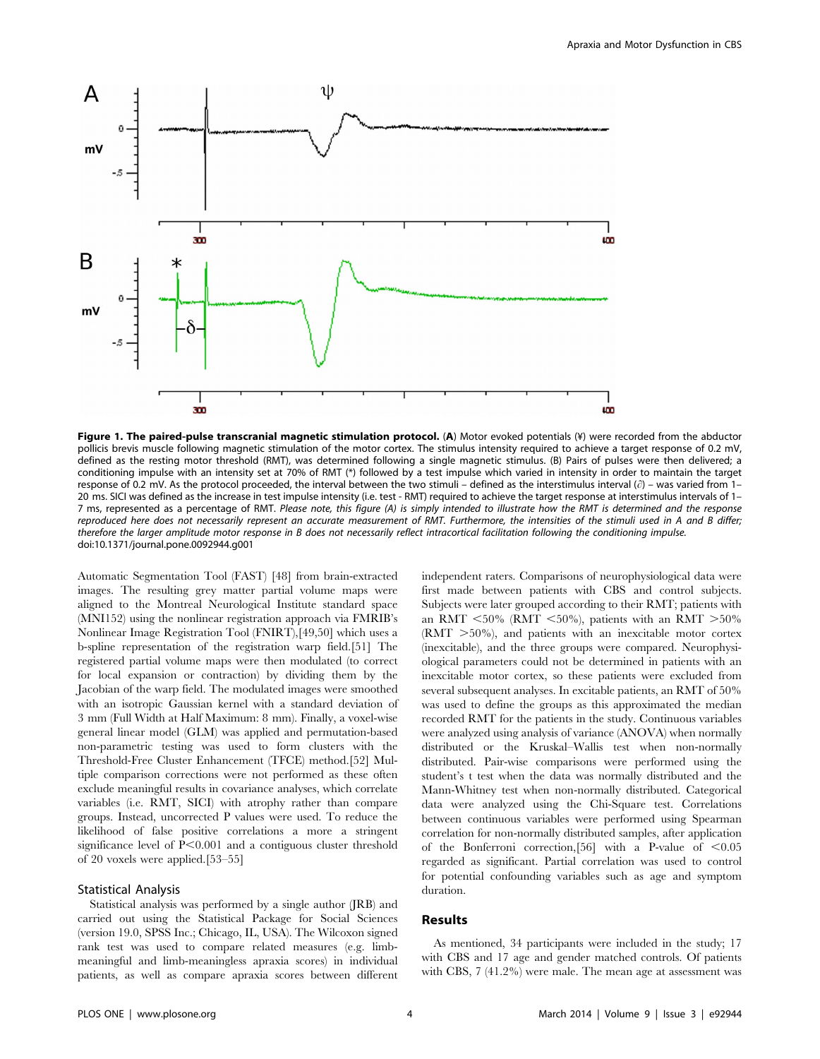

Figure 1. The paired-pulse transcranial magnetic stimulation protocol. (A) Motor evoked potentials (¥) were recorded from the abductor pollicis brevis muscle following magnetic stimulation of the motor cortex. The stimulus intensity required to achieve a target response of 0.2 mV, defined as the resting motor threshold (RMT), was determined following a single magnetic stimulus. (B) Pairs of pulses were then delivered; a conditioning impulse with an intensity set at 70% of RMT (\*) followed by a test impulse which varied in intensity in order to maintain the target response of 0.2 mV. As the protocol proceeded, the interval between the two stimuli – defined as the interstimulus interval  $(\partial)$  – was varied from 1– 20 ms. SICI was defined as the increase in test impulse intensity (i.e. test - RMT) required to achieve the target response at interstimulus intervals of 1-7 ms, represented as a percentage of RMT. Please note, this figure (A) is simply intended to illustrate how the RMT is determined and the response reproduced here does not necessarily represent an accurate measurement of RMT. Furthermore, the intensities of the stimuli used in A and B differ; therefore the larger amplitude motor response in B does not necessarily reflect intracortical facilitation following the conditioning impulse. doi:10.1371/journal.pone.0092944.g001

Automatic Segmentation Tool (FAST) [48] from brain-extracted images. The resulting grey matter partial volume maps were aligned to the Montreal Neurological Institute standard space (MNI152) using the nonlinear registration approach via FMRIB's Nonlinear Image Registration Tool (FNIRT),[49,50] which uses a b-spline representation of the registration warp field.[51] The registered partial volume maps were then modulated (to correct for local expansion or contraction) by dividing them by the Jacobian of the warp field. The modulated images were smoothed with an isotropic Gaussian kernel with a standard deviation of 3 mm (Full Width at Half Maximum: 8 mm). Finally, a voxel-wise general linear model (GLM) was applied and permutation-based non-parametric testing was used to form clusters with the Threshold-Free Cluster Enhancement (TFCE) method.[52] Multiple comparison corrections were not performed as these often exclude meaningful results in covariance analyses, which correlate variables (i.e. RMT, SICI) with atrophy rather than compare groups. Instead, uncorrected P values were used. To reduce the likelihood of false positive correlations a more a stringent significance level of  $P<0.001$  and a contiguous cluster threshold of 20 voxels were applied.[53–55]

## Statistical Analysis

Statistical analysis was performed by a single author (JRB) and carried out using the Statistical Package for Social Sciences (version 19.0, SPSS Inc.; Chicago, IL, USA). The Wilcoxon signed rank test was used to compare related measures (e.g. limbmeaningful and limb-meaningless apraxia scores) in individual patients, as well as compare apraxia scores between different independent raters. Comparisons of neurophysiological data were first made between patients with CBS and control subjects. Subjects were later grouped according to their RMT; patients with an RMT <50% (RMT <50%), patients with an RMT  $>50\%$  $(RMT > 50\%)$ , and patients with an inexcitable motor cortex (inexcitable), and the three groups were compared. Neurophysiological parameters could not be determined in patients with an inexcitable motor cortex, so these patients were excluded from several subsequent analyses. In excitable patients, an RMT of 50% was used to define the groups as this approximated the median recorded RMT for the patients in the study. Continuous variables were analyzed using analysis of variance (ANOVA) when normally distributed or the Kruskal–Wallis test when non-normally distributed. Pair-wise comparisons were performed using the student's t test when the data was normally distributed and the Mann-Whitney test when non-normally distributed. Categorical data were analyzed using the Chi-Square test. Correlations between continuous variables were performed using Spearman correlation for non-normally distributed samples, after application of the Bonferroni correction, [56] with a P-value of  $< 0.05$ regarded as significant. Partial correlation was used to control for potential confounding variables such as age and symptom duration.

#### Results

As mentioned, 34 participants were included in the study; 17 with CBS and 17 age and gender matched controls. Of patients with CBS, 7 (41.2%) were male. The mean age at assessment was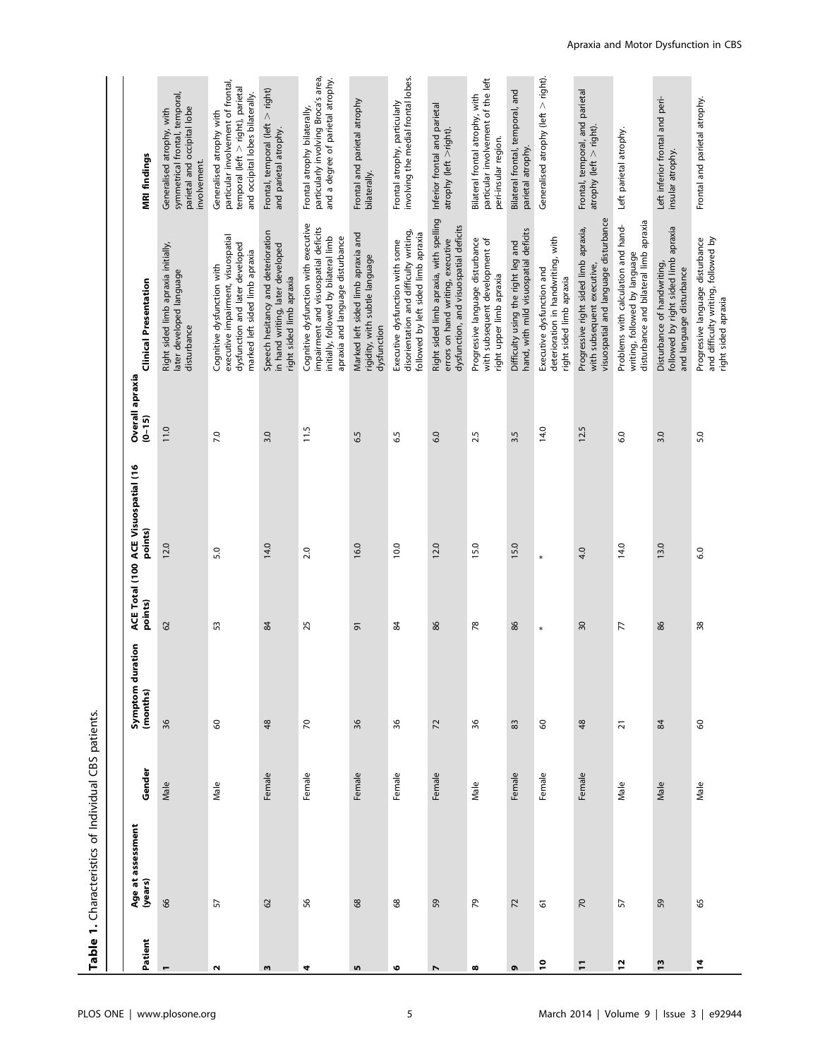Table 1. Characteristics of Individual CBS patients. Table 1. Characteristics of Individual CBS patients.

| MRI findings                                   | symmetrical frontal, temporal,<br>parietal and occipital lobe<br>Generalised atrophy, with<br>involvement. | particular involvement of frontal,<br>temporal (left > right), parietal<br>and occipital lobes bilaterally.<br>Generalised atrophy with | Frontal, temporal (left > right)<br>and parietal atrophy.                                          | particularly involving Broca's area,<br>and a degree of parietal atrophy.<br>Frontal atrophy bilaterally,                                                 | Frontal and parietal atrophy<br>bilaterally.                                        | involving the medial frontal lobes.<br>Frontal atrophy, particularly                                             | Inferior frontal and parietal<br>$\text{atrophy}$ (left $>$ right).                                                    | particular involvement of the left<br>Bilateral frontal atrophy, with<br>peri-insular region.  | Bilateral frontal, temporal, and<br>parietal atrophy.                       | Generalised atrophy (left > right).                                                         | Frontal, temporal, and parietal<br>$atrophy$ (left $>$ right).                                               | Left parietal atrophy.                                                                                         | Left inferior frontal and peri-<br>insular atrophy.                                             | Frontal and parietal atrophy.                                                                  |
|------------------------------------------------|------------------------------------------------------------------------------------------------------------|-----------------------------------------------------------------------------------------------------------------------------------------|----------------------------------------------------------------------------------------------------|-----------------------------------------------------------------------------------------------------------------------------------------------------------|-------------------------------------------------------------------------------------|------------------------------------------------------------------------------------------------------------------|------------------------------------------------------------------------------------------------------------------------|------------------------------------------------------------------------------------------------|-----------------------------------------------------------------------------|---------------------------------------------------------------------------------------------|--------------------------------------------------------------------------------------------------------------|----------------------------------------------------------------------------------------------------------------|-------------------------------------------------------------------------------------------------|------------------------------------------------------------------------------------------------|
| <b>Clinical Presentation</b>                   | Right sided limb apraxia initially,<br>later developed language<br>disturbance                             | executive impairment, visuospatial<br>dysfunction and later developed<br>marked left sided limb apraxia<br>Cognitive dysfunction with   | Speech hesitancy and deterioration<br>in hand writing, later developed<br>right sided limb apraxia | Cognitive dysfunction with executive<br>impairment and visuospatial deficits<br>initially, followed by bilateral limb<br>apraxia and language disturbance | Marked left sided limb apraxia and<br>rigidity, with subtle language<br>dysfunction | disorientation and difficulty writing,<br>followed by left sided limb apraxia<br>Executive dysfunction with some | Right sided limb apraxia, with spelling<br>dysfunction, and visuospatial deficits<br>errors on hand writing, executive | Progressive language disturbance<br>with subsequent development of<br>right upper limb apraxia | hand, with mild visuospatial deficits<br>Difficulty using the right leg and | deterioration in handwriting, with<br>Executive dysfunction and<br>right sided limb apraxia | visuospatial and language disturbance<br>Progressive right sided limb apraxia,<br>with subsequent executive, | disturbance and bilateral limb apraxia<br>Problems with calculation and hand-<br>writing, followed by language | followed by right sided limb apraxia<br>Disturbance of handwriting,<br>and language disturbance | Progressive language disturbance<br>and difficulty writing, followed by<br>right sided apraxia |
| Overall apraxia<br>$(0 - 15)$                  | 11.0                                                                                                       | 7.0                                                                                                                                     | 3.0                                                                                                | 11.5                                                                                                                                                      | 6.5                                                                                 | 6.5                                                                                                              | 6.0                                                                                                                    | 2.5                                                                                            | 3.5                                                                         | 14.0                                                                                        | 12.5                                                                                                         | 6.0                                                                                                            | 3.0                                                                                             | 5.0                                                                                            |
| ACE Total (100 ACE Visuospatial (16<br>points) | 12.0                                                                                                       | 5.0                                                                                                                                     | 14.0                                                                                               | 2.0                                                                                                                                                       | 16.0                                                                                | 10.0                                                                                                             | 12.0                                                                                                                   | 15.0                                                                                           | 15.0                                                                        | $\ast$                                                                                      | 4.0                                                                                                          | 14.0                                                                                                           | 13.0                                                                                            | 6.0                                                                                            |
| points)                                        | 62                                                                                                         | 53                                                                                                                                      | 84                                                                                                 | 25                                                                                                                                                        | 5                                                                                   | 84                                                                                                               | 86                                                                                                                     | 78                                                                                             | 86                                                                          | $\ast$                                                                                      | 30                                                                                                           | 77                                                                                                             | 86                                                                                              | 38                                                                                             |
| uration<br>Symptom du<br>(months)              | 36                                                                                                         | $\mbox{S}$                                                                                                                              | 48                                                                                                 | $\overline{70}$                                                                                                                                           | 36                                                                                  | 36                                                                                                               | $\overline{z}$                                                                                                         | 36                                                                                             | 83                                                                          | $\mbox{S}$                                                                                  | 48                                                                                                           | $\overline{2}1$                                                                                                | 84                                                                                              | $\mbox{S}$                                                                                     |
| Gender                                         | Male                                                                                                       | Male                                                                                                                                    | Female                                                                                             | Female                                                                                                                                                    | Female                                                                              | Female                                                                                                           | Female                                                                                                                 | Male                                                                                           | Female                                                                      | Female                                                                                      | Female                                                                                                       | Male                                                                                                           | Male                                                                                            | Male                                                                                           |
| Age at assessment<br>(years)                   | 8 <sup>o</sup>                                                                                             | 57                                                                                                                                      | $\Omega$                                                                                           | 95                                                                                                                                                        | $68$                                                                                | 8                                                                                                                | 59                                                                                                                     | 54                                                                                             | 72                                                                          | 6                                                                                           | $\overline{2}$                                                                                               | 57                                                                                                             | 59                                                                                              | 65                                                                                             |
| Patient                                        | $\mathbf -$                                                                                                | $\mathbf{\tilde{N}}$                                                                                                                    | w                                                                                                  | 4                                                                                                                                                         | <b>In</b>                                                                           | ৩                                                                                                                | $\overline{ }$                                                                                                         | œ                                                                                              | ō                                                                           | °,                                                                                          | Ξ                                                                                                            | $\overline{1}$                                                                                                 | $\frac{3}{2}$                                                                                   | $\mathbf{z}$                                                                                   |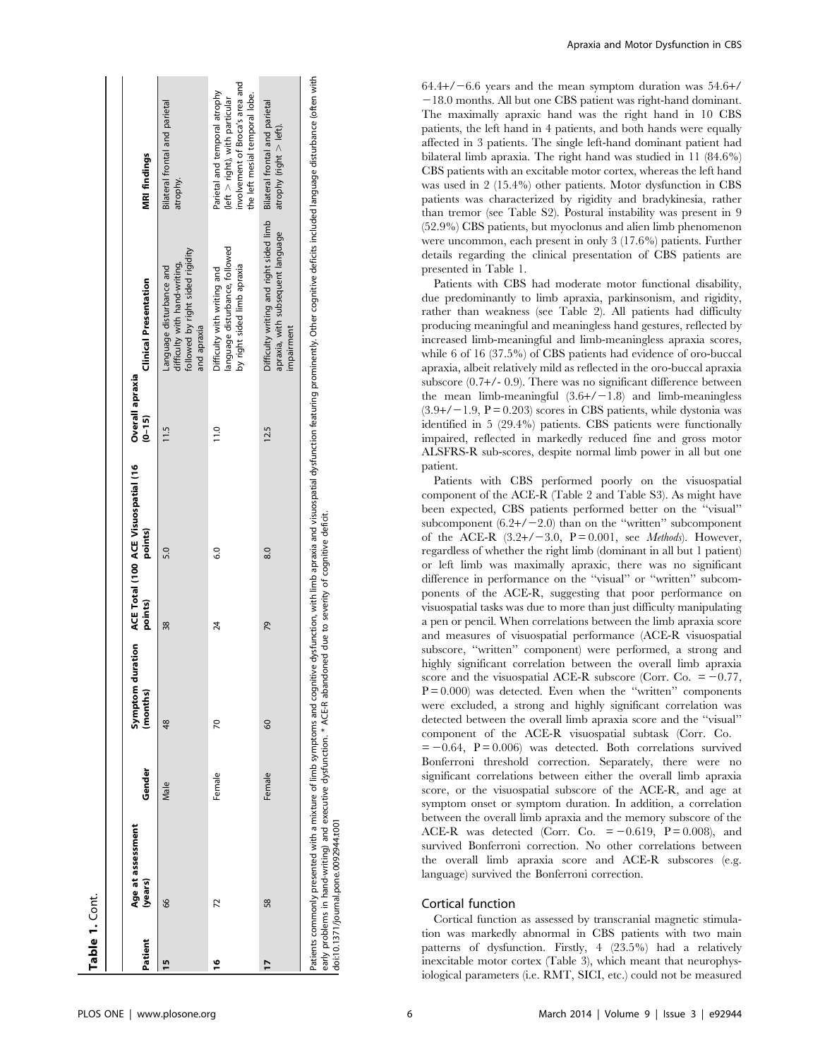|               | Age at assessment                                                                                                                                           |        |          |         | Symptom duration ACE Total (100 ACE Visuospatial (16 | Overall apraxia |                                                                                                                                                                                                                                |                                                                                                                                         |
|---------------|-------------------------------------------------------------------------------------------------------------------------------------------------------------|--------|----------|---------|------------------------------------------------------|-----------------|--------------------------------------------------------------------------------------------------------------------------------------------------------------------------------------------------------------------------------|-----------------------------------------------------------------------------------------------------------------------------------------|
| Patient       | (years)                                                                                                                                                     | Gender | (months) | points) | points)                                              | $(0 - 15)$      | <b>Clinical Presentation</b>                                                                                                                                                                                                   | <b>MRI findings</b>                                                                                                                     |
| 15            | 8                                                                                                                                                           | Male   | 48       | 38      | 5.0                                                  | 11.5            | followed by right sided rigidity<br>difficulty with hand-writing,<br>anguage disturbance and<br>and apraxia                                                                                                                    | Bilateral frontal and parietal<br>atrophy.                                                                                              |
| $\frac{6}{1}$ | 72                                                                                                                                                          | Female | 70       | 24      | $\overline{6.0}$                                     | 11.0            | language disturbance, followed<br>by right sided limb apraxia<br>Difficulty with writing and                                                                                                                                   | involvement of Broca's area and<br>Parietal and temporal atrophy<br>the left mesial temporal lobe.<br>$(let > right)$ , with particular |
| 17            | 58                                                                                                                                                          | Female | 60       | 79      | 8.0                                                  | 12.5            | Difficulty writing and right sided limb<br>apraxia, with subsequent language<br>impairment                                                                                                                                     | Bilateral frontal and parietal<br>$\frac{1}{2}$ atrophy (right $>$ left).                                                               |
|               | early problems in hand-writing) and executive dysfunction. * ACE-R abandoned due to severity of cognitive deficit.<br>doi:10.1371/journal.pone.0092944.t001 |        |          |         |                                                      |                 | Patients commonly presented with a mixture of limb symptoms and cognitive dysfunction, with limb apraxia and visuospatial dysfunction featuring prominently. Other cognitive deficits included language disturbance (often wit |                                                                                                                                         |

Apraxia and Motor Dysfunction in CBS

 $64.4+/-6.6$  years and the mean symptom duration was  $54.6+/ -18.0$  months. All but one CBS patient was right-hand dominant. The maximally apraxic hand was the right hand in 10 CBS patients, the left hand in 4 patients, and both hands were equally affected in 3 patients. The single left-hand dominant patient had bilateral limb apraxia. The right hand was studied in 11 (84.6%) CBS patients with an excitable motor cortex, whereas the left hand was used in 2 (15.4%) other patients. Motor dysfunction in CBS patients was characterized by rigidity and bradykinesia, rather than tremor (see Table S2). Postural instability was present in 9 (52.9%) CBS patients, but myoclonus and alien limb phenomenon were uncommon, each present in only 3 (17.6%) patients. Further details regarding the clinical presentation of CBS patients are presented in Table 1.

Patients with CBS had moderate motor functional disability, due predominantly to limb apraxia, parkinsonism, and rigidity, rather than weakness (see Table 2). All patients had difficulty producing meaningful and meaningless hand gestures, reflected by increased limb-meaningful and limb-meaningless apraxia scores, while 6 of 16 (37.5%) of CBS patients had evidence of oro-buccal apraxia, albeit relatively mild as reflected in the oro-buccal apraxia subscore (0.7+/- 0.9). There was no significant difference between the mean limb-meaningful  $(3.6+/-1.8)$  and limb-meaningless  $(3.9+/-1.9, P = 0.203)$  scores in CBS patients, while dystonia was identified in 5 (29.4%) patients. CBS patients were functionally impaired, reflected in markedly reduced fine and gross motor ALSFRS-R sub-scores, despite normal limb power in all but one patient.

Patients with CBS performed poorly on the visuospatial component of the ACE-R (Table 2 and Table S3). As might have been expected, CBS patients performed better on the ''visual'' subcomponent  $(6.2+/-2.0)$  than on the "written" subcomponent of the ACE-R  $(3.2+/-3.0, P = 0.001, \text{ see } Methods)$ . However, regardless of whether the right limb (dominant in all but 1 patient) or left limb was maximally apraxic, there was no significant difference in performance on the ''visual'' or ''written'' subcomponents of the ACE-R, suggesting that poor performance on visuospatial tasks was due to more than just difficulty manipulating a pen or pencil. When correlations between the limb apraxia score and measures of visuospatial performance (ACE-R visuospatial subscore, ''written'' component) were performed, a strong and highly significant correlation between the overall limb apraxia score and the visuospatial ACE-R subscore (Corr. Co.  $= -0.77$ ,  $P = 0.000$ ) was detected. Even when the "written" components were excluded, a strong and highly significant correlation was detected between the overall limb apraxia score and the ''visual'' component of the ACE-R visuospatial subtask (Corr. Co.  $= -0.64$ ,  $P = 0.006$  was detected. Both correlations survived Bonferroni threshold correction. Separately, there were no significant correlations between either the overall limb apraxia score, or the visuospatial subscore of the ACE-R, and age at symptom onset or symptom duration. In addition, a correlation

between the overall limb apraxia and the memory subscore of the ACE-R was detected (Corr. Co.  $= -0.619$ ,  $P = 0.008$ ), and survived Bonferroni correction. No other correlations between the overall limb apraxia score and ACE-R subscores (e.g. language) survived the Bonferroni correction.

## Cortical function

Cortical function as assessed by transcranial magnetic stimulation was markedly abnormal in CBS patients with two main patterns of dysfunction. Firstly, 4 (23.5%) had a relatively inexcitable motor cortex (Table 3), which meant that neurophysiological parameters (i.e. RMT, SICI, etc.) could not be measured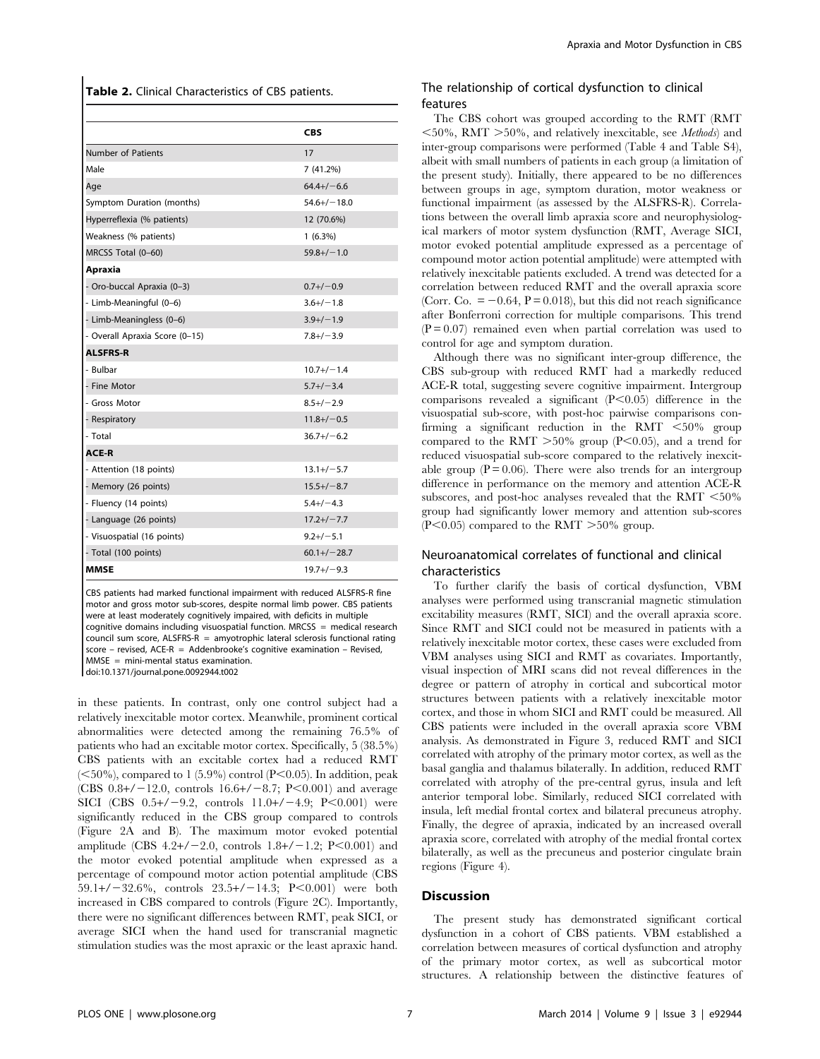Table 2. Clinical Characteristics of CBS patients.

|                                | <b>CBS</b>        |
|--------------------------------|-------------------|
| <b>Number of Patients</b>      | 17                |
| Male                           | 7 (41.2%)         |
| Age                            | $64.4+/-6.6$      |
| Symptom Duration (months)      | $54.6 + / - 18.0$ |
| Hyperreflexia (% patients)     | 12 (70.6%)        |
| Weakness (% patients)          | $1(6.3\%)$        |
| MRCSS Total (0-60)             | $59.8 + / - 1.0$  |
| Apraxia                        |                   |
| - Oro-buccal Apraxia (0-3)     | $0.7+/-0.9$       |
| - Limb-Meaningful (0-6)        | $3.6 + / - 1.8$   |
| - Limb-Meaningless (0-6)       | $3.9+/-1.9$       |
| - Overall Apraxia Score (0-15) | $7.8 + / -3.9$    |
| <b>ALSFRS-R</b>                |                   |
| - Bulbar                       | $10.7 + / - 1.4$  |
| - Fine Motor                   | $5.7 + / - 3.4$   |
| - Gross Motor                  | $8.5 + / - 2.9$   |
| - Respiratory                  | $11.8 + / -0.5$   |
| - Total                        | $36.7 + / -6.2$   |
| ACE-R                          |                   |
| - Attention (18 points)        | $13.1 + / - 5.7$  |
| - Memory (26 points)           | $15.5+/-8.7$      |
| - Fluency (14 points)          | $5.4+/-4.3$       |
| - Language (26 points)         | $17.2+/-7.7$      |
| - Visuospatial (16 points)     | $9.2 + / - 5.1$   |
| - Total (100 points)           | $60.1 + / - 28.7$ |
| <b>MMSE</b>                    | $19.7 + / -9.3$   |
|                                |                   |

CBS patients had marked functional impairment with reduced ALSFRS-R fine motor and gross motor sub-scores, despite normal limb power. CBS patients were at least moderately cognitively impaired, with deficits in multiple cognitive domains including visuospatial function. MRCSS = medical research council sum score, ALSFRS- $R =$  amyotrophic lateral sclerosis functional rating score – revised,  $ACE-R = Addenbrooke's cognitive examination - Revised,$ MMSE = mini-mental status examination. doi:10.1371/journal.pone.0092944.t002

in these patients. In contrast, only one control subject had a relatively inexcitable motor cortex. Meanwhile, prominent cortical abnormalities were detected among the remaining 76.5% of patients who had an excitable motor cortex. Specifically, 5 (38.5%) CBS patients with an excitable cortex had a reduced RMT  $(<50\%)$ , compared to 1 (5.9%) control (P<0.05). In addition, peak (CBS  $0.8+/-12.0$ , controls  $16.6+/-8.7$ ; P<0.001) and average SICI (CBS  $0.5+/-9.2$ , controls  $11.0+/-4.9$ ; P<0.001) were significantly reduced in the CBS group compared to controls (Figure 2A and B). The maximum motor evoked potential amplitude (CBS  $4.2+/-2.0$ , controls  $1.8+/-1.2$ ; P<0.001) and the motor evoked potential amplitude when expressed as a percentage of compound motor action potential amplitude (CBS 59.1+/-32.6%, controls  $23.5+/-14.3$ ; P<0.001) were both increased in CBS compared to controls (Figure 2C). Importantly, there were no significant differences between RMT, peak SICI, or average SICI when the hand used for transcranial magnetic stimulation studies was the most apraxic or the least apraxic hand.

## The relationship of cortical dysfunction to clinical features

The CBS cohort was grouped according to the RMT (RMT  $<$ 50%, RMT  $>$ 50%, and relatively inexcitable, see *Methods*) and inter-group comparisons were performed (Table 4 and Table S4), albeit with small numbers of patients in each group (a limitation of the present study). Initially, there appeared to be no differences between groups in age, symptom duration, motor weakness or functional impairment (as assessed by the ALSFRS-R). Correlations between the overall limb apraxia score and neurophysiological markers of motor system dysfunction (RMT, Average SICI, motor evoked potential amplitude expressed as a percentage of compound motor action potential amplitude) were attempted with relatively inexcitable patients excluded. A trend was detected for a correlation between reduced RMT and the overall apraxia score (Corr. Co.  $= -0.64$ , P = 0.018), but this did not reach significance after Bonferroni correction for multiple comparisons. This trend  $(P = 0.07)$  remained even when partial correlation was used to control for age and symptom duration.

Although there was no significant inter-group difference, the CBS sub-group with reduced RMT had a markedly reduced ACE-R total, suggesting severe cognitive impairment. Intergroup comparisons revealed a significant  $(P<0.05)$  difference in the visuospatial sub-score, with post-hoc pairwise comparisons confirming a significant reduction in the RMT  $\langle 50\%$  group compared to the RMT  $>50\%$  group (P<0.05), and a trend for reduced visuospatial sub-score compared to the relatively inexcitable group  $(P = 0.06)$ . There were also trends for an intergroup difference in performance on the memory and attention ACE-R subscores, and post-hoc analyses revealed that the RMT  $<$  50% group had significantly lower memory and attention sub-scores  $(P<0.05)$  compared to the RMT  $>50\%$  group.

## Neuroanatomical correlates of functional and clinical characteristics

To further clarify the basis of cortical dysfunction, VBM analyses were performed using transcranial magnetic stimulation excitability measures (RMT, SICI) and the overall apraxia score. Since RMT and SICI could not be measured in patients with a relatively inexcitable motor cortex, these cases were excluded from VBM analyses using SICI and RMT as covariates. Importantly, visual inspection of MRI scans did not reveal differences in the degree or pattern of atrophy in cortical and subcortical motor structures between patients with a relatively inexcitable motor cortex, and those in whom SICI and RMT could be measured. All CBS patients were included in the overall apraxia score VBM analysis. As demonstrated in Figure 3, reduced RMT and SICI correlated with atrophy of the primary motor cortex, as well as the basal ganglia and thalamus bilaterally. In addition, reduced RMT correlated with atrophy of the pre-central gyrus, insula and left anterior temporal lobe. Similarly, reduced SICI correlated with insula, left medial frontal cortex and bilateral precuneus atrophy. Finally, the degree of apraxia, indicated by an increased overall apraxia score, correlated with atrophy of the medial frontal cortex bilaterally, as well as the precuneus and posterior cingulate brain regions (Figure 4).

#### **Discussion**

The present study has demonstrated significant cortical dysfunction in a cohort of CBS patients. VBM established a correlation between measures of cortical dysfunction and atrophy of the primary motor cortex, as well as subcortical motor structures. A relationship between the distinctive features of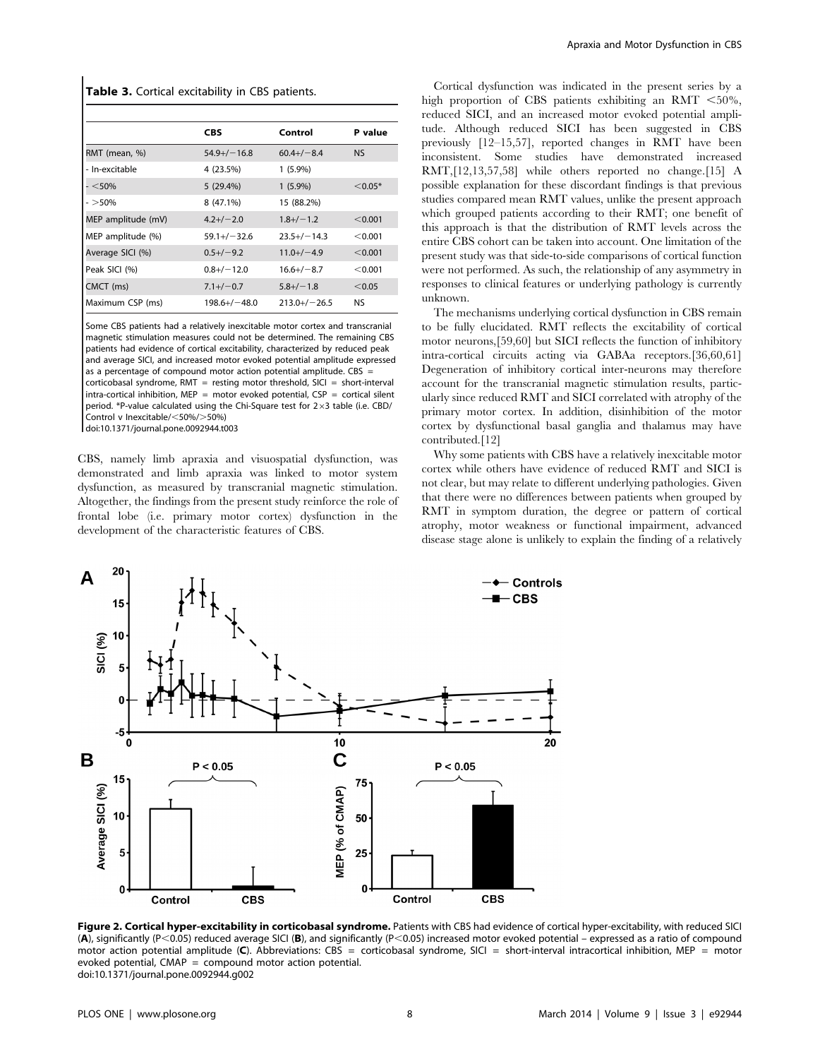#### Table 3. Cortical excitability in CBS patients.

|                    | <b>CBS</b>       | Control         | P value   |
|--------------------|------------------|-----------------|-----------|
| RMT (mean, %)      | $54.9+/-16.8$    | $60.4+/-8.4$    | <b>NS</b> |
| - In-excitable     | 4 (23.5%)        | $1(5.9\%)$      |           |
| $-<$ 50%           | 5(29.4%)         | $1(5.9\%)$      | $< 0.05*$ |
| $-$ >50%           | 8 (47.1%)        | 15 (88.2%)      |           |
| MEP amplitude (mV) | $4.2+/-2.0$      | $1.8 + / - 1.2$ | < 0.001   |
| MEP amplitude (%)  | $59.1 + (-32.6)$ | $23.5+/-14.3$   | < 0.001   |
| Average SICI (%)   | $0.5 + (-9.2)$   | $11.0+/-4.9$    | < 0.001   |
| Peak SICI (%)      | $0.8 + / - 12.0$ | $16.6+/-8.7$    | < 0.001   |
| CMCT (ms)          | $7.1 + / -0.7$   | $5.8 + / - 1.8$ | < 0.05    |
| Maximum CSP (ms)   | $198.6+/-48.0$   | $213.0+/-26.5$  | <b>NS</b> |

Some CBS patients had a relatively inexcitable motor cortex and transcranial magnetic stimulation measures could not be determined. The remaining CBS patients had evidence of cortical excitability, characterized by reduced peak and average SICI, and increased motor evoked potential amplitude expressed as a percentage of compound motor action potential amplitude.  $CRS =$ corticobasal syndrome, RMT = resting motor threshold, SICI = short-interval intra-cortical inhibition, MEP = motor evoked potential,  $CSP =$  cortical silent period. \*P-value calculated using the Chi-Square test for  $2\times3$  table (i.e. CBD/ Control v Inexcitable/ $<$ 50%/ $>$ 50%)

doi:10.1371/journal.pone.0092944.t003

CBS, namely limb apraxia and visuospatial dysfunction, was demonstrated and limb apraxia was linked to motor system dysfunction, as measured by transcranial magnetic stimulation. Altogether, the findings from the present study reinforce the role of frontal lobe (i.e. primary motor cortex) dysfunction in the development of the characteristic features of CBS.

Cortical dysfunction was indicated in the present series by a high proportion of CBS patients exhibiting an RMT  $<$ 50%, reduced SICI, and an increased motor evoked potential amplitude. Although reduced SICI has been suggested in CBS previously [12–15,57], reported changes in RMT have been inconsistent. Some studies have demonstrated increased RMT,[12,13,57,58] while others reported no change.[15] A possible explanation for these discordant findings is that previous studies compared mean RMT values, unlike the present approach which grouped patients according to their RMT; one benefit of this approach is that the distribution of RMT levels across the entire CBS cohort can be taken into account. One limitation of the present study was that side-to-side comparisons of cortical function were not performed. As such, the relationship of any asymmetry in responses to clinical features or underlying pathology is currently unknown.

The mechanisms underlying cortical dysfunction in CBS remain to be fully elucidated. RMT reflects the excitability of cortical motor neurons,[59,60] but SICI reflects the function of inhibitory intra-cortical circuits acting via GABAa receptors.[36,60,61] Degeneration of inhibitory cortical inter-neurons may therefore account for the transcranial magnetic stimulation results, particularly since reduced RMT and SICI correlated with atrophy of the primary motor cortex. In addition, disinhibition of the motor cortex by dysfunctional basal ganglia and thalamus may have contributed.[12]

Why some patients with CBS have a relatively inexcitable motor cortex while others have evidence of reduced RMT and SICI is not clear, but may relate to different underlying pathologies. Given that there were no differences between patients when grouped by RMT in symptom duration, the degree or pattern of cortical atrophy, motor weakness or functional impairment, advanced disease stage alone is unlikely to explain the finding of a relatively



Figure 2. Cortical hyper-excitability in corticobasal syndrome. Patients with CBS had evidence of cortical hyper-excitability, with reduced SICI (A), significantly (P<0.05) reduced average SICI (B), and significantly (P<0.05) increased motor evoked potential – expressed as a ratio of compound motor action potential amplitude (C). Abbreviations: CBS = corticobasal syndrome, SICI = short-interval intracortical inhibition, MEP = motor evoked potential,  $CMAP =$  compound motor action potential. doi:10.1371/journal.pone.0092944.g002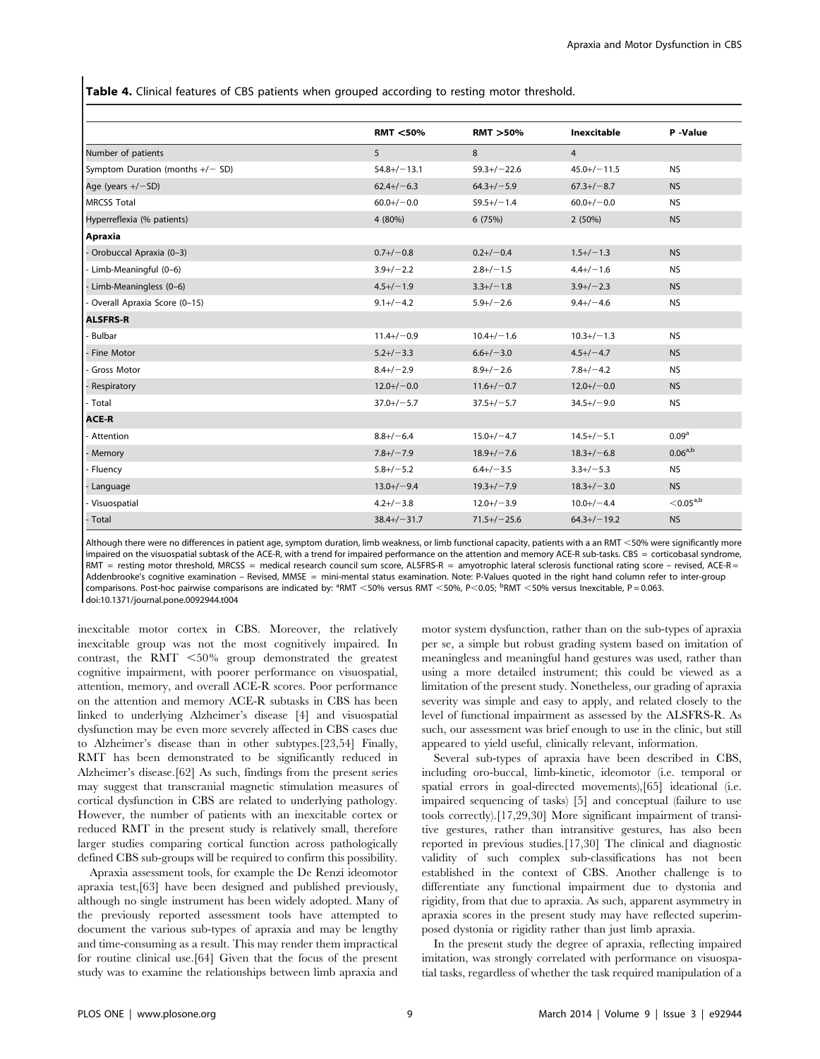Table 4. Clinical features of CBS patients when grouped according to resting motor threshold.

|                                    | <b>RMT &lt;50%</b> | <b>RMT &gt;50%</b> | <b>Inexcitable</b> | P-Value                 |
|------------------------------------|--------------------|--------------------|--------------------|-------------------------|
| Number of patients                 | 5                  | 8                  | $\overline{4}$     |                         |
| Symptom Duration (months $+/-$ SD) | $54.8 + / - 13.1$  | $59.3+/-22.6$      | $45.0+/-11.5$      | <b>NS</b>               |
| Age (years $+/-SD$ )               | $62.4+/-6.3$       | $64.3+/-5.9$       | $67.3+/-8.7$       | <b>NS</b>               |
| <b>MRCSS Total</b>                 | $60.0+/-0.0$       | $59.5+/-1.4$       | $60.0+/-0.0$       | <b>NS</b>               |
| Hyperreflexia (% patients)         | 4 (80%)            | 6(75%)             | 2(50%)             | <b>NS</b>               |
| Apraxia                            |                    |                    |                    |                         |
| - Orobuccal Apraxia (0-3)          | $0.7 + / -0.8$     | $0.2+/-0.4$        | $1.5 + / - 1.3$    | <b>NS</b>               |
| - Limb-Meaningful (0-6)            | $3.9+/-2.2$        | $2.8 + / - 1.5$    | $4.4+/-1.6$        | <b>NS</b>               |
| - Limb-Meaningless (0-6)           | $4.5+/-1.9$        | $3.3+/-1.8$        | $3.9+/-2.3$        | <b>NS</b>               |
| Overall Apraxia Score (0-15)       | $9.1 + (-4.2)$     | $5.9+/-2.6$        | $9.4+/-4.6$        | <b>NS</b>               |
| <b>ALSFRS-R</b>                    |                    |                    |                    |                         |
| <b>Bulbar</b>                      | $11.4+/-0.9$       | $10.4+/-1.6$       | $10.3 + / - 1.3$   | <b>NS</b>               |
| Fine Motor                         | $5.2+/-3.3$        | $6.6 + / -3.0$     | $4.5+/-4.7$        | <b>NS</b>               |
| <b>Gross Motor</b>                 | $8.4+/-2.9$        | $8.9+/-2.6$        | $7.8 + / -4.2$     | <b>NS</b>               |
| Respiratory                        | $12.0+/-0.0$       | $11.6+/-0.7$       | $12.0+/-0.0$       | <b>NS</b>               |
| - Total                            | $37.0+/-5.7$       | $37.5+/-5.7$       | $34.5+/-9.0$       | <b>NS</b>               |
| <b>ACE-R</b>                       |                    |                    |                    |                         |
| - Attention                        | $8.8 + / -6.4$     | $15.0+/-4.7$       | $14.5 + / - 5.1$   | 0.09 <sup>a</sup>       |
| Memory                             | $7.8 + / -7.9$     | $18.9 + / -7.6$    | $18.3 + / -6.8$    | $0.06^{a,b}$            |
| Fluency                            | $5.8 + / - 5.2$    | $6.4+/-3.5$        | $3.3+/-5.3$        | <b>NS</b>               |
| Language                           | $13.0+/-9.4$       | $19.3 + / -7.9$    | $18.3 + / - 3.0$   | <b>NS</b>               |
| - Visuospatial                     | $4.2 + / -3.8$     | $12.0 + / - 3.9$   | $10.0 + / -4.4$    | $<$ 0.05 <sup>a,b</sup> |
| - Total                            | $38.4 + / - 31.7$  | $71.5+/-25.6$      | $64.3+/-19.2$      | <b>NS</b>               |

Although there were no differences in patient age, symptom duration, limb weakness, or limb functional capacity, patients with a an RMT <50% were significantly more impaired on the visuospatial subtask of the ACE-R, with a trend for impaired performance on the attention and memory ACE-R sub-tasks. CBS = corticobasal syndrome,  $RMT$  = resting motor threshold, MRCSS = medical research council sum score, ALSFRS-R = amyotrophic lateral sclerosis functional rating score – revised, ACE-R = Addenbrooke's cognitive examination – Revised, MMSE = mini-mental status examination. Note: P-Values quoted in the right hand column refer to inter-group comparisons. Post-hoc pairwise comparisons are indicated by: <sup>a</sup>RMT <50% versus RMT <50%, P<0.05; <sup>b</sup>RMT <50% versus Inexcitable, P = 0.063. doi:10.1371/journal.pone.0092944.t004

inexcitable motor cortex in CBS. Moreover, the relatively inexcitable group was not the most cognitively impaired. In contrast, the RMT  $<$ 50% group demonstrated the greatest cognitive impairment, with poorer performance on visuospatial, attention, memory, and overall ACE-R scores. Poor performance on the attention and memory ACE-R subtasks in CBS has been linked to underlying Alzheimer's disease [4] and visuospatial dysfunction may be even more severely affected in CBS cases due to Alzheimer's disease than in other subtypes.[23,54] Finally, RMT has been demonstrated to be significantly reduced in Alzheimer's disease.[62] As such, findings from the present series may suggest that transcranial magnetic stimulation measures of cortical dysfunction in CBS are related to underlying pathology. However, the number of patients with an inexcitable cortex or reduced RMT in the present study is relatively small, therefore larger studies comparing cortical function across pathologically defined CBS sub-groups will be required to confirm this possibility.

Apraxia assessment tools, for example the De Renzi ideomotor apraxia test,[63] have been designed and published previously, although no single instrument has been widely adopted. Many of the previously reported assessment tools have attempted to document the various sub-types of apraxia and may be lengthy and time-consuming as a result. This may render them impractical for routine clinical use.[64] Given that the focus of the present study was to examine the relationships between limb apraxia and motor system dysfunction, rather than on the sub-types of apraxia per se, a simple but robust grading system based on imitation of meaningless and meaningful hand gestures was used, rather than using a more detailed instrument; this could be viewed as a limitation of the present study. Nonetheless, our grading of apraxia severity was simple and easy to apply, and related closely to the level of functional impairment as assessed by the ALSFRS-R. As such, our assessment was brief enough to use in the clinic, but still appeared to yield useful, clinically relevant, information.

Several sub-types of apraxia have been described in CBS, including oro-buccal, limb-kinetic, ideomotor (i.e. temporal or spatial errors in goal-directed movements),[65] ideational (i.e. impaired sequencing of tasks) [5] and conceptual (failure to use tools correctly).[17,29,30] More significant impairment of transitive gestures, rather than intransitive gestures, has also been reported in previous studies.[17,30] The clinical and diagnostic validity of such complex sub-classifications has not been established in the context of CBS. Another challenge is to differentiate any functional impairment due to dystonia and rigidity, from that due to apraxia. As such, apparent asymmetry in apraxia scores in the present study may have reflected superimposed dystonia or rigidity rather than just limb apraxia.

In the present study the degree of apraxia, reflecting impaired imitation, was strongly correlated with performance on visuospatial tasks, regardless of whether the task required manipulation of a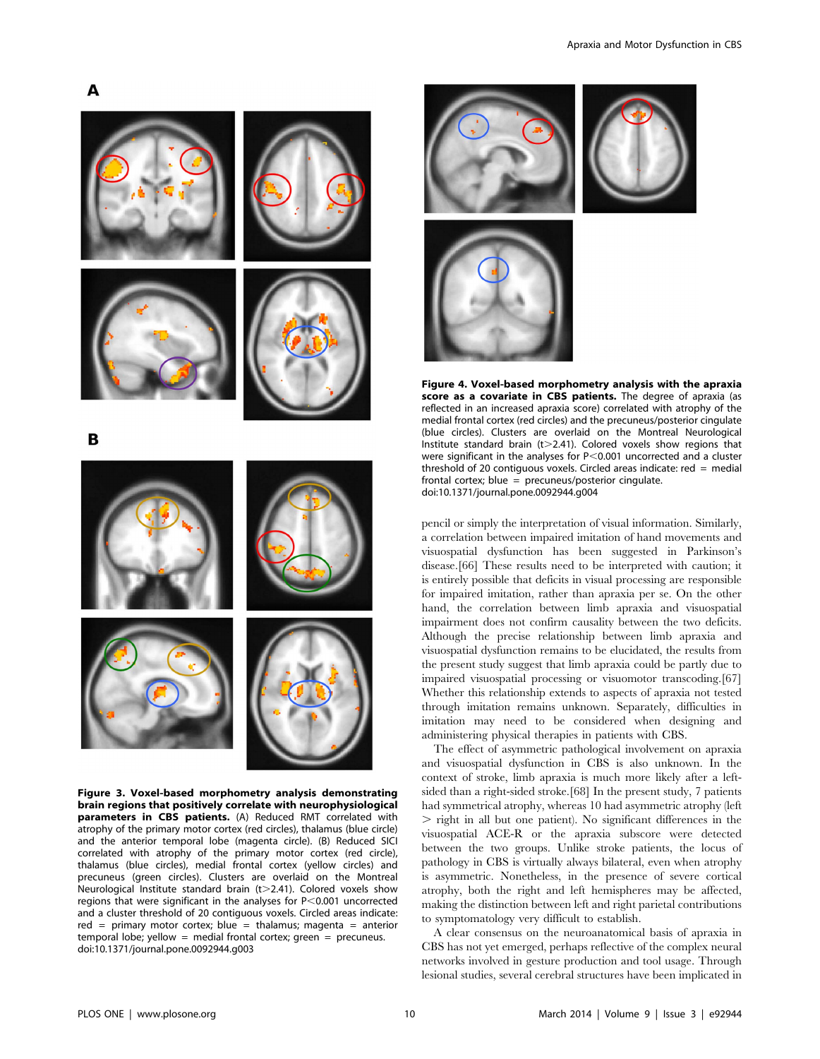

Figure 3. Voxel-based morphometry analysis demonstrating brain regions that positively correlate with neurophysiological parameters in CBS patients. (A) Reduced RMT correlated with atrophy of the primary motor cortex (red circles), thalamus (blue circle) and the anterior temporal lobe (magenta circle). (B) Reduced SICI correlated with atrophy of the primary motor cortex (red circle), thalamus (blue circles), medial frontal cortex (yellow circles) and precuneus (green circles). Clusters are overlaid on the Montreal Neurological Institute standard brain ( $t$   $>$  2.41). Colored voxels show regions that were significant in the analyses for  $P < 0.001$  uncorrected and a cluster threshold of 20 contiguous voxels. Circled areas indicate: red = primary motor cortex; blue = thalamus; magenta = anterior temporal lobe; yellow = medial frontal cortex; green = precuneus. doi:10.1371/journal.pone.0092944.g003



Figure 4. Voxel-based morphometry analysis with the apraxia score as a covariate in CBS patients. The degree of apraxia (as reflected in an increased apraxia score) correlated with atrophy of the medial frontal cortex (red circles) and the precuneus/posterior cingulate (blue circles). Clusters are overlaid on the Montreal Neurological Institute standard brain (t $>$ 2.41). Colored voxels show regions that were significant in the analyses for  $P < 0.001$  uncorrected and a cluster threshold of 20 contiguous voxels. Circled areas indicate:  $red = median$ frontal cortex; blue =  $precuneus/posterior cingulate$ . doi:10.1371/journal.pone.0092944.g004

pencil or simply the interpretation of visual information. Similarly, a correlation between impaired imitation of hand movements and visuospatial dysfunction has been suggested in Parkinson's disease.[66] These results need to be interpreted with caution; it is entirely possible that deficits in visual processing are responsible for impaired imitation, rather than apraxia per se. On the other hand, the correlation between limb apraxia and visuospatial impairment does not confirm causality between the two deficits. Although the precise relationship between limb apraxia and visuospatial dysfunction remains to be elucidated, the results from the present study suggest that limb apraxia could be partly due to impaired visuospatial processing or visuomotor transcoding.[67] Whether this relationship extends to aspects of apraxia not tested through imitation remains unknown. Separately, difficulties in imitation may need to be considered when designing and administering physical therapies in patients with CBS.

The effect of asymmetric pathological involvement on apraxia and visuospatial dysfunction in CBS is also unknown. In the context of stroke, limb apraxia is much more likely after a leftsided than a right-sided stroke.[68] In the present study, 7 patients had symmetrical atrophy, whereas 10 had asymmetric atrophy (left  $>$  right in all but one patient). No significant differences in the visuospatial ACE-R or the apraxia subscore were detected between the two groups. Unlike stroke patients, the locus of pathology in CBS is virtually always bilateral, even when atrophy is asymmetric. Nonetheless, in the presence of severe cortical atrophy, both the right and left hemispheres may be affected, making the distinction between left and right parietal contributions to symptomatology very difficult to establish.

A clear consensus on the neuroanatomical basis of apraxia in CBS has not yet emerged, perhaps reflective of the complex neural networks involved in gesture production and tool usage. Through lesional studies, several cerebral structures have been implicated in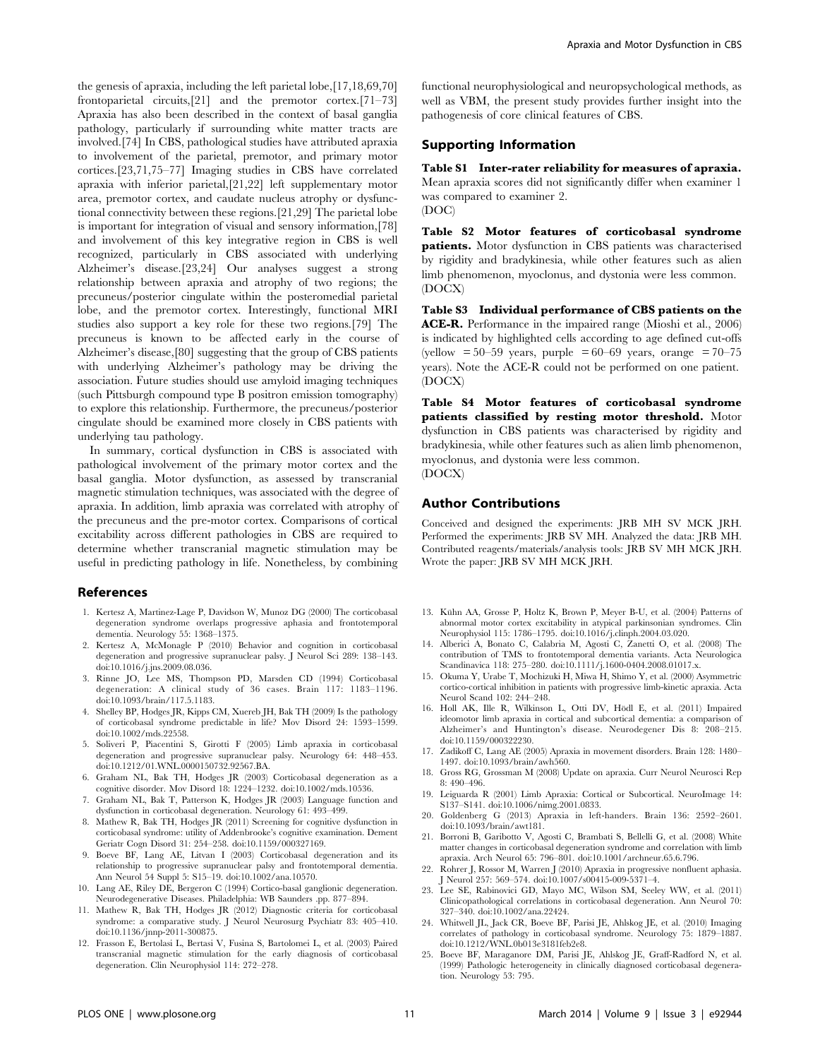the genesis of apraxia, including the left parietal lobe,[17,18,69,70] frontoparietal circuits,[21] and the premotor cortex.[71–73] Apraxia has also been described in the context of basal ganglia pathology, particularly if surrounding white matter tracts are involved.[74] In CBS, pathological studies have attributed apraxia to involvement of the parietal, premotor, and primary motor cortices.[23,71,75–77] Imaging studies in CBS have correlated apraxia with inferior parietal,[21,22] left supplementary motor area, premotor cortex, and caudate nucleus atrophy or dysfunctional connectivity between these regions.[21,29] The parietal lobe is important for integration of visual and sensory information,[78] and involvement of this key integrative region in CBS is well recognized, particularly in CBS associated with underlying Alzheimer's disease.[23,24] Our analyses suggest a strong relationship between apraxia and atrophy of two regions; the precuneus/posterior cingulate within the posteromedial parietal lobe, and the premotor cortex. Interestingly, functional MRI studies also support a key role for these two regions.[79] The precuneus is known to be affected early in the course of Alzheimer's disease,[80] suggesting that the group of CBS patients with underlying Alzheimer's pathology may be driving the association. Future studies should use amyloid imaging techniques (such Pittsburgh compound type B positron emission tomography) to explore this relationship. Furthermore, the precuneus/posterior cingulate should be examined more closely in CBS patients with underlying tau pathology.

In summary, cortical dysfunction in CBS is associated with pathological involvement of the primary motor cortex and the basal ganglia. Motor dysfunction, as assessed by transcranial magnetic stimulation techniques, was associated with the degree of apraxia. In addition, limb apraxia was correlated with atrophy of the precuneus and the pre-motor cortex. Comparisons of cortical excitability across different pathologies in CBS are required to determine whether transcranial magnetic stimulation may be useful in predicting pathology in life. Nonetheless, by combining

#### References

- 1. Kertesz A, Martinez-Lage P, Davidson W, Munoz DG (2000) The corticobasal degeneration syndrome overlaps progressive aphasia and frontotemporal dementia. Neurology 55: 1368–1375.
- 2. Kertesz A, McMonagle P (2010) Behavior and cognition in corticobasal degeneration and progressive supranuclear palsy. J Neurol Sci 289: 138–143. doi:10.1016/j.jns.2009.08.036.
- 3. Rinne JO, Lee MS, Thompson PD, Marsden CD (1994) Corticobasal degeneration: A clinical study of 36 cases. Brain 117: 1183–1196. doi:10.1093/brain/117.5.1183.
- 4. Shelley BP, Hodges JR, Kipps CM, Xuereb JH, Bak TH (2009) Is the pathology of corticobasal syndrome predictable in life? Mov Disord 24: 1593–1599. doi:10.1002/mds.22558.
- 5. Soliveri P, Piacentini S, Girotti F (2005) Limb apraxia in corticobasal degeneration and progressive supranuclear palsy. Neurology 64: 448–453. doi:10.1212/01.WNL.0000150732.92567.BA.
- 6. Graham NL, Bak TH, Hodges JR (2003) Corticobasal degeneration as a cognitive disorder. Mov Disord 18: 1224–1232. doi:10.1002/mds.10536.
- 7. Graham NL, Bak T, Patterson K, Hodges JR (2003) Language function and dysfunction in corticobasal degeneration. Neurology 61: 493–499.
- 8. Mathew R, Bak TH, Hodges JR (2011) Screening for cognitive dysfunction in corticobasal syndrome: utility of Addenbrooke's cognitive examination. Dement Geriatr Cogn Disord 31: 254–258. doi:10.1159/000327169.
- 9. Boeve BF, Lang AE, Litvan I (2003) Corticobasal degeneration and its relationship to progressive supranuclear palsy and frontotemporal dementia. Ann Neurol 54 Suppl 5: S15–19. doi:10.1002/ana.10570.
- 10. Lang AE, Riley DE, Bergeron C (1994) Cortico-basal ganglionic degeneration. Neurodegenerative Diseases. Philadelphia: WB Saunders .pp. 877–894.
- 11. Mathew R, Bak TH, Hodges JR (2012) Diagnostic criteria for corticobasal syndrome: a comparative study. J Neurol Neurosurg Psychiatr 83: 405–410. doi:10.1136/jnnp-2011-300875.
- 12. Frasson E, Bertolasi L, Bertasi V, Fusina S, Bartolomei L, et al. (2003) Paired transcranial magnetic stimulation for the early diagnosis of corticobasal degeneration. Clin Neurophysiol 114: 272–278.

functional neurophysiological and neuropsychological methods, as well as VBM, the present study provides further insight into the pathogenesis of core clinical features of CBS.

#### Supporting Information

Table S1 Inter-rater reliability for measures of apraxia. Mean apraxia scores did not significantly differ when examiner 1 was compared to examiner 2. (DOC)

Table S2 Motor features of corticobasal syndrome patients. Motor dysfunction in CBS patients was characterised by rigidity and bradykinesia, while other features such as alien limb phenomenon, myoclonus, and dystonia were less common. (DOCX)

Table S3 Individual performance of CBS patients on the ACE-R. Performance in the impaired range (Mioshi et al., 2006) is indicated by highlighted cells according to age defined cut-offs (yellow  $\approx 50-59$  years, purple  $\approx 60-69$  years, orange  $\approx 70-75$ years). Note the ACE-R could not be performed on one patient. (DOCX)

Table S4 Motor features of corticobasal syndrome patients classified by resting motor threshold. Motor dysfunction in CBS patients was characterised by rigidity and bradykinesia, while other features such as alien limb phenomenon, myoclonus, and dystonia were less common. (DOCX)

#### Author Contributions

Conceived and designed the experiments: JRB MH SV MCK JRH. Performed the experiments: JRB SV MH. Analyzed the data: JRB MH. Contributed reagents/materials/analysis tools: JRB SV MH MCK JRH. Wrote the paper: JRB SV MH MCK JRH.

- 13. Kühn AA, Grosse P, Holtz K, Brown P, Meyer B-U, et al. (2004) Patterns of abnormal motor cortex excitability in atypical parkinsonian syndromes. Clin Neurophysiol 115: 1786–1795. doi:10.1016/j.clinph.2004.03.020.
- 14. Alberici A, Bonato C, Calabria M, Agosti C, Zanetti O, et al. (2008) The contribution of TMS to frontotemporal dementia variants. Acta Neurologica Scandinavica 118: 275–280. doi:10.1111/j.1600-0404.2008.01017.x.
- 15. Okuma Y, Urabe T, Mochizuki H, Miwa H, Shimo Y, et al. (2000) Asymmetric cortico-cortical inhibition in patients with progressive limb-kinetic apraxia. Acta Neurol Scand 102: 244–248.
- 16. Holl AK, Ille R, Wilkinson L, Otti DV, Hödl E, et al. (2011) Impaired ideomotor limb apraxia in cortical and subcortical dementia: a comparison of Alzheimer's and Huntington's disease. Neurodegener Dis 8: 208–215. doi:10.1159/000322230.
- 17. Zadikoff C, Lang AE (2005) Apraxia in movement disorders. Brain 128: 1480– 1497. doi:10.1093/brain/awh560.
- 18. Gross RG, Grossman M (2008) Update on apraxia. Curr Neurol Neurosci Rep 8: 490–496.
- 19. Leiguarda R (2001) Limb Apraxia: Cortical or Subcortical. NeuroImage 14: S137–S141. doi:10.1006/nimg.2001.0833.
- 20. Goldenberg G (2013) Apraxia in left-handers. Brain 136: 2592–2601. doi:10.1093/brain/awt181.
- 21. Borroni B, Garibotto V, Agosti C, Brambati S, Bellelli G, et al. (2008) White matter changes in corticobasal degeneration syndrome and correlation with limb apraxia. Arch Neurol 65: 796–801. doi:10.1001/archneur.65.6.796.
- 22. Rohrer J, Rossor M, Warren J (2010) Apraxia in progressive nonfluent aphasia. J Neurol 257: 569–574. doi:10.1007/s00415-009-5371–4.
- 23. Lee SE, Rabinovici GD, Mayo MC, Wilson SM, Seeley WW, et al. (2011) Clinicopathological correlations in corticobasal degeneration. Ann Neurol 70: 327–340. doi:10.1002/ana.22424.
- 24. Whitwell JL, Jack CR, Boeve BF, Parisi JE, Ahlskog JE, et al. (2010) Imaging correlates of pathology in corticobasal syndrome. Neurology 75: 1879–1887. doi:10.1212/WNL.0b013e3181feb2e8.
- 25. Boeve BF, Maraganore DM, Parisi JE, Ahlskog JE, Graff-Radford N, et al. (1999) Pathologic heterogeneity in clinically diagnosed corticobasal degeneration. Neurology 53: 795.